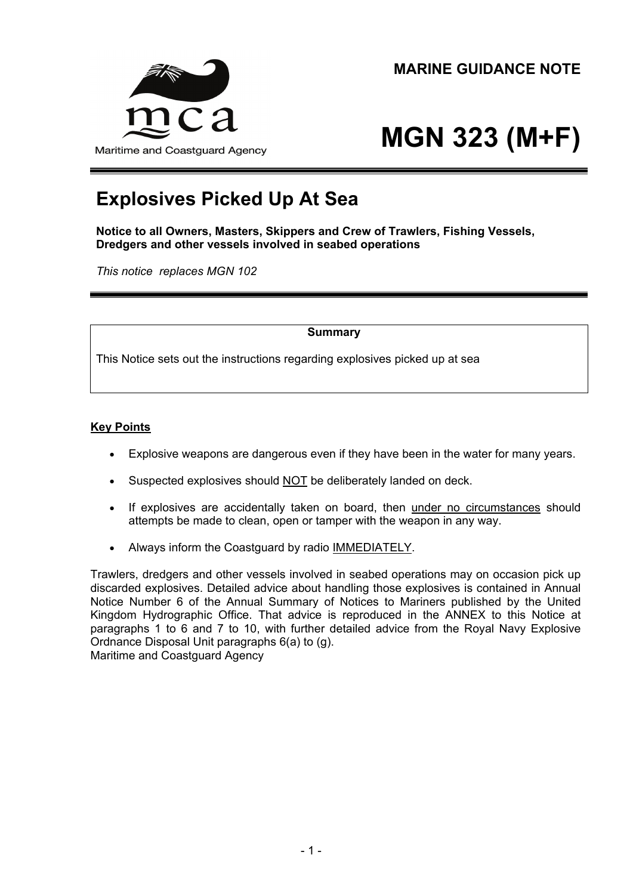

# **MGN 323 (M+F)**

# **Explosives Picked Up At Sea**

**Notice to all Owners, Masters, Skippers and Crew of Trawlers, Fishing Vessels, Dredgers and other vessels involved in seabed operations** 

*This notice replaces MGN 102* 

### **Summary**

This Notice sets out the instructions regarding explosives picked up at sea

## **Key Points**

- Explosive weapons are dangerous even if they have been in the water for many years.
- Suspected explosives should NOT be deliberately landed on deck.
- If explosives are accidentally taken on board, then under no circumstances should attempts be made to clean, open or tamper with the weapon in any way.
- Always inform the Coastguard by radio IMMEDIATELY.

Trawlers, dredgers and other vessels involved in seabed operations may on occasion pick up discarded explosives. Detailed advice about handling those explosives is contained in Annual Notice Number 6 of the Annual Summary of Notices to Mariners published by the United Kingdom Hydrographic Office. That advice is reproduced in the ANNEX to this Notice at paragraphs 1 to 6 and 7 to 10, with further detailed advice from the Royal Navy Explosive Ordnance Disposal Unit paragraphs 6(a) to (g). Maritime and Coastguard Agency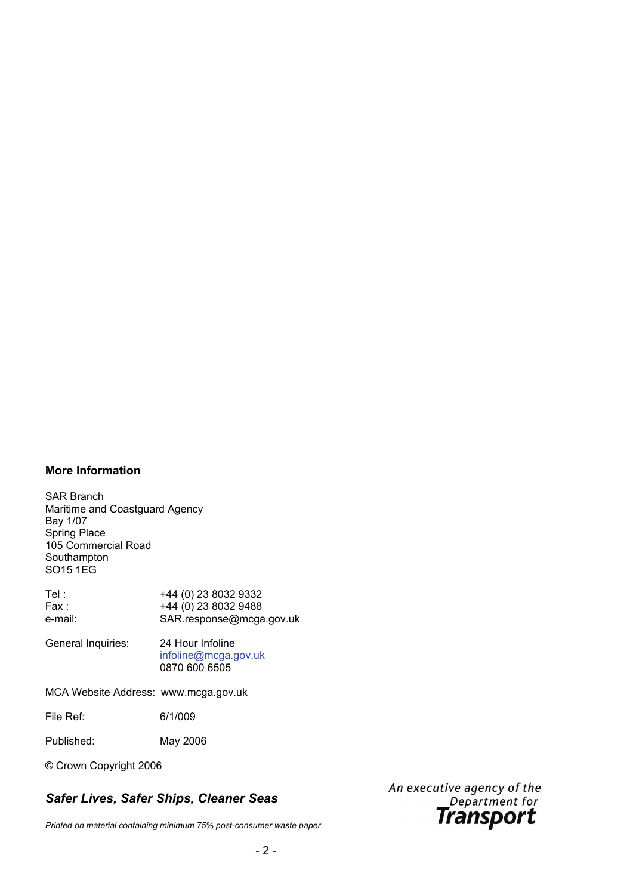#### **More Information**

SAR Branch Maritime and Coastguard Agency Bay 1/07 Spring Place 105 Commercial Road Southampton SO15 1EG

Tel : +44 (0) 23 8032 9332  $Fax:$  +44 (0) 23 8032 9488 e-mail: SAR.response@mcga.gov.uk

General Inquiries: 24 Hour Infoline infoline@mcga.gov.uk 0870 600 6505

MCA Website Address: www.mcga.gov.uk

File Ref: 6/1/009

Published: May 2006

© Crown Copyright 2006

# *Safer Lives, Safer Ships, Cleaner Seas*

*Printed on material containing minimum 75% post-consumer waste paper* 

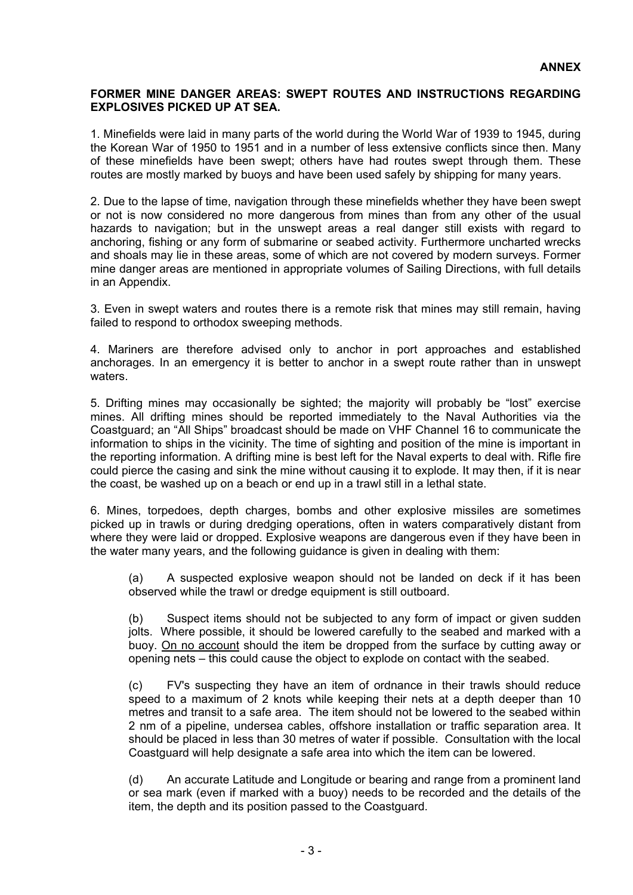#### **FORMER MINE DANGER AREAS: SWEPT ROUTES AND INSTRUCTIONS REGARDING EXPLOSIVES PICKED UP AT SEA.**

1. Minefields were laid in many parts of the world during the World War of 1939 to 1945, during the Korean War of 1950 to 1951 and in a number of less extensive conflicts since then. Many of these minefields have been swept; others have had routes swept through them. These routes are mostly marked by buoys and have been used safely by shipping for many years.

2. Due to the lapse of time, navigation through these minefields whether they have been swept or not is now considered no more dangerous from mines than from any other of the usual hazards to navigation; but in the unswept areas a real danger still exists with regard to anchoring, fishing or any form of submarine or seabed activity. Furthermore uncharted wrecks and shoals may lie in these areas, some of which are not covered by modern surveys. Former mine danger areas are mentioned in appropriate volumes of Sailing Directions, with full details in an Appendix.

3. Even in swept waters and routes there is a remote risk that mines may still remain, having failed to respond to orthodox sweeping methods.

4. Mariners are therefore advised only to anchor in port approaches and established anchorages. In an emergency it is better to anchor in a swept route rather than in unswept waters.

5. Drifting mines may occasionally be sighted; the majority will probably be "lost" exercise mines. All drifting mines should be reported immediately to the Naval Authorities via the Coastguard; an "All Ships" broadcast should be made on VHF Channel 16 to communicate the information to ships in the vicinity. The time of sighting and position of the mine is important in the reporting information. A drifting mine is best left for the Naval experts to deal with. Rifle fire could pierce the casing and sink the mine without causing it to explode. It may then, if it is near the coast, be washed up on a beach or end up in a trawl still in a lethal state.

6. Mines, torpedoes, depth charges, bombs and other explosive missiles are sometimes picked up in trawls or during dredging operations, often in waters comparatively distant from where they were laid or dropped. Explosive weapons are dangerous even if they have been in the water many years, and the following guidance is given in dealing with them:

(a) A suspected explosive weapon should not be landed on deck if it has been observed while the trawl or dredge equipment is still outboard.

(b) Suspect items should not be subjected to any form of impact or given sudden jolts. Where possible, it should be lowered carefully to the seabed and marked with a buoy. On no account should the item be dropped from the surface by cutting away or opening nets – this could cause the object to explode on contact with the seabed.

(c) FV's suspecting they have an item of ordnance in their trawls should reduce speed to a maximum of 2 knots while keeping their nets at a depth deeper than 10 metres and transit to a safe area. The item should not be lowered to the seabed within 2 nm of a pipeline, undersea cables, offshore installation or traffic separation area. It should be placed in less than 30 metres of water if possible. Consultation with the local Coastguard will help designate a safe area into which the item can be lowered.

(d) An accurate Latitude and Longitude or bearing and range from a prominent land or sea mark (even if marked with a buoy) needs to be recorded and the details of the item, the depth and its position passed to the Coastguard.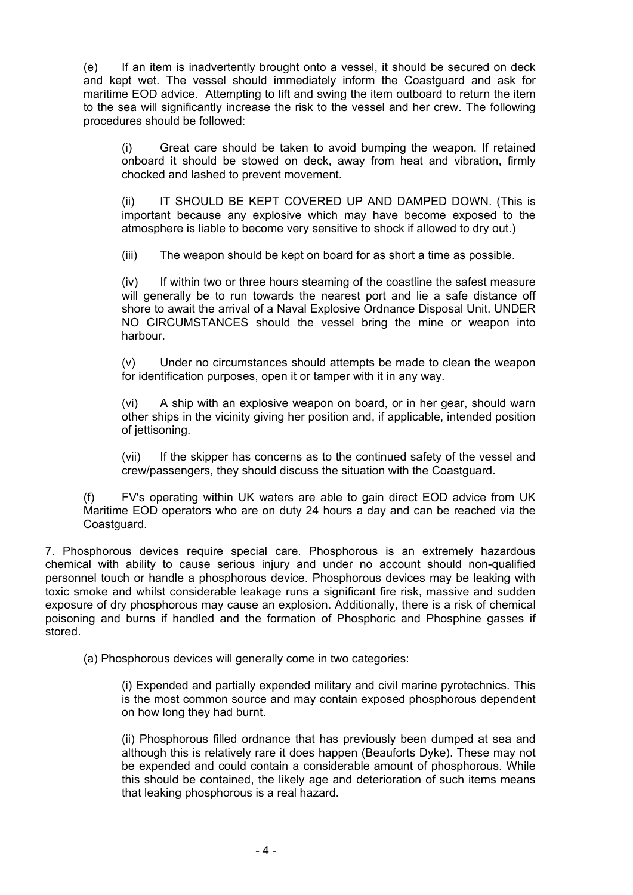(e) If an item is inadvertently brought onto a vessel, it should be secured on deck and kept wet. The vessel should immediately inform the Coastguard and ask for maritime EOD advice. Attempting to lift and swing the item outboard to return the item to the sea will significantly increase the risk to the vessel and her crew. The following procedures should be followed:

(i) Great care should be taken to avoid bumping the weapon. If retained onboard it should be stowed on deck, away from heat and vibration, firmly chocked and lashed to prevent movement.

(ii) IT SHOULD BE KEPT COVERED UP AND DAMPED DOWN. (This is important because any explosive which may have become exposed to the atmosphere is liable to become very sensitive to shock if allowed to dry out.)

(iii) The weapon should be kept on board for as short a time as possible.

(iv) If within two or three hours steaming of the coastline the safest measure will generally be to run towards the nearest port and lie a safe distance off shore to await the arrival of a Naval Explosive Ordnance Disposal Unit. UNDER NO CIRCUMSTANCES should the vessel bring the mine or weapon into harbour.

(v) Under no circumstances should attempts be made to clean the weapon for identification purposes, open it or tamper with it in any way.

(vi) A ship with an explosive weapon on board, or in her gear, should warn other ships in the vicinity giving her position and, if applicable, intended position of jettisoning.

(vii) If the skipper has concerns as to the continued safety of the vessel and crew/passengers, they should discuss the situation with the Coastguard.

(f) FV's operating within UK waters are able to gain direct EOD advice from UK Maritime EOD operators who are on duty 24 hours a day and can be reached via the Coastguard.

7. Phosphorous devices require special care. Phosphorous is an extremely hazardous chemical with ability to cause serious injury and under no account should non-qualified personnel touch or handle a phosphorous device. Phosphorous devices may be leaking with toxic smoke and whilst considerable leakage runs a significant fire risk, massive and sudden exposure of dry phosphorous may cause an explosion. Additionally, there is a risk of chemical poisoning and burns if handled and the formation of Phosphoric and Phosphine gasses if stored.

(a) Phosphorous devices will generally come in two categories:

(i) Expended and partially expended military and civil marine pyrotechnics. This is the most common source and may contain exposed phosphorous dependent on how long they had burnt.

(ii) Phosphorous filled ordnance that has previously been dumped at sea and although this is relatively rare it does happen (Beauforts Dyke). These may not be expended and could contain a considerable amount of phosphorous. While this should be contained, the likely age and deterioration of such items means that leaking phosphorous is a real hazard.